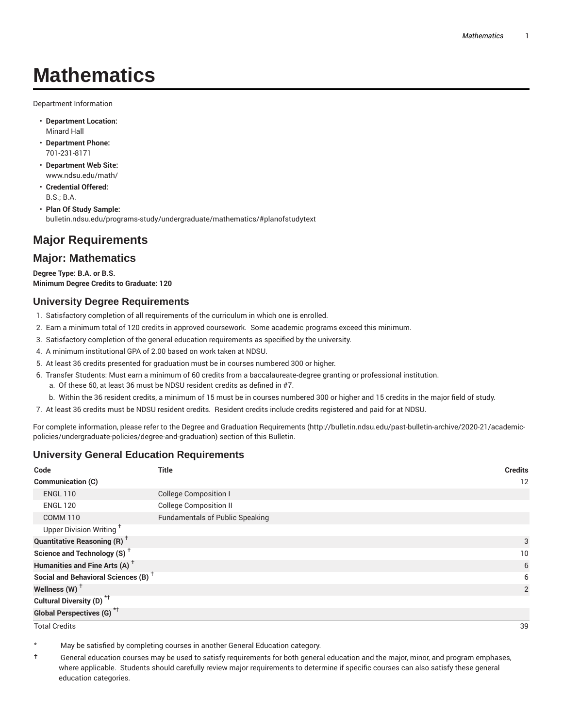# **Mathematics**

Department Information

- **Department Location:** Minard Hall
- **Department Phone:** 701-231-8171
- **Department Web Site:** www.ndsu.edu/math/
- **Credential Offered:** B.S.; B.A.
- **Plan Of Study Sample:** bulletin.ndsu.edu/programs-study/undergraduate/mathematics/#planofstudytext

# **Major Requirements**

# **Major: Mathematics**

**Degree Type: B.A. or B.S. Minimum Degree Credits to Graduate: 120**

## **University Degree Requirements**

- 1. Satisfactory completion of all requirements of the curriculum in which one is enrolled.
- 2. Earn a minimum total of 120 credits in approved coursework. Some academic programs exceed this minimum.
- 3. Satisfactory completion of the general education requirements as specified by the university.
- 4. A minimum institutional GPA of 2.00 based on work taken at NDSU.
- 5. At least 36 credits presented for graduation must be in courses numbered 300 or higher.
- 6. Transfer Students: Must earn a minimum of 60 credits from a baccalaureate-degree granting or professional institution.
	- a. Of these 60, at least 36 must be NDSU resident credits as defined in #7.
	- b. Within the 36 resident credits, a minimum of 15 must be in courses numbered 300 or higher and 15 credits in the major field of study.
- 7. At least 36 credits must be NDSU resident credits. Resident credits include credits registered and paid for at NDSU.

For complete information, please refer to the Degree and Graduation Requirements (http://bulletin.ndsu.edu/past-bulletin-archive/2020-21/academicpolicies/undergraduate-policies/degree-and-graduation) section of this Bulletin.

# **University General Education Requirements**

| Code                                            | <b>Title</b>                           | <b>Credits</b> |
|-------------------------------------------------|----------------------------------------|----------------|
| Communication (C)                               |                                        | 12             |
| <b>ENGL 110</b>                                 | <b>College Composition I</b>           |                |
| <b>ENGL 120</b>                                 | <b>College Composition II</b>          |                |
| <b>COMM 110</b>                                 | <b>Fundamentals of Public Speaking</b> |                |
| Upper Division Writing <sup>+</sup>             |                                        |                |
| <b>Quantitative Reasoning (R)</b> <sup>†</sup>  |                                        | 3              |
| Science and Technology (S) <sup>+</sup>         |                                        | 10             |
| Humanities and Fine Arts (A) <sup>+</sup>       |                                        | 6              |
| Social and Behavioral Sciences (B) <sup>+</sup> |                                        | 6              |
| Wellness $(W)$ <sup>+</sup>                     |                                        | 2              |
| Cultural Diversity (D) <sup>*†</sup>            |                                        |                |
| <b>Global Perspectives (G)<sup>*†</sup></b>     |                                        |                |

Total Credits 39

May be satisfied by completing courses in another General Education category.

† General education courses may be used to satisfy requirements for both general education and the major, minor, and program emphases, where applicable. Students should carefully review major requirements to determine if specific courses can also satisfy these general education categories.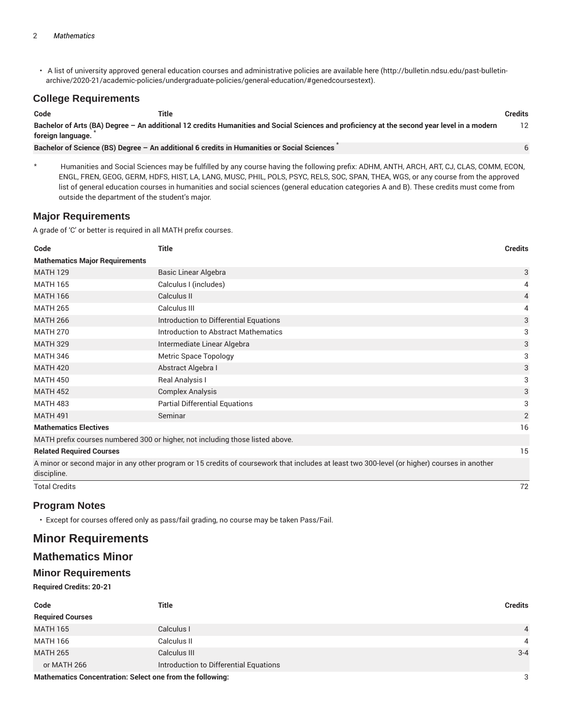• A list of university approved general education courses and administrative policies are available here (http://bulletin.ndsu.edu/past-bulletinarchive/2020-21/academic-policies/undergraduate-policies/general-education/#genedcoursestext).

## **College Requirements**

| Code                                                                                                                                                             | Title                                                                                      | <b>Credits</b> |
|------------------------------------------------------------------------------------------------------------------------------------------------------------------|--------------------------------------------------------------------------------------------|----------------|
| Bachelor of Arts (BA) Degree – An additional 12 credits Humanities and Social Sciences and proficiency at the second year level in a modern<br>foreign language. |                                                                                            | 12             |
|                                                                                                                                                                  | Bachelor of Science (BS) Degree - An additional 6 credits in Humanities or Social Sciences |                |

Humanities and Social Sciences may be fulfilled by any course having the following prefix: ADHM, ANTH, ARCH, ART, CJ, CLAS, COMM, ECON, ENGL, FREN, GEOG, GERM, HDFS, HIST, LA, LANG, MUSC, PHIL, POLS, PSYC, RELS, SOC, SPAN, THEA, WGS, or any course from the approved list of general education courses in humanities and social sciences (general education categories A and B). These credits must come from outside the department of the student's major.

## **Major Requirements**

A grade of 'C' or better is required in all MATH prefix courses.

| Code                                  | <b>Title</b>                                                                                                                                 | <b>Credits</b> |
|---------------------------------------|----------------------------------------------------------------------------------------------------------------------------------------------|----------------|
| <b>Mathematics Major Requirements</b> |                                                                                                                                              |                |
| <b>MATH 129</b>                       | Basic Linear Algebra                                                                                                                         | 3              |
| <b>MATH 165</b>                       | Calculus I (includes)                                                                                                                        | 4              |
| <b>MATH 166</b>                       | Calculus II                                                                                                                                  | 4              |
| <b>MATH 265</b>                       | Calculus III                                                                                                                                 | 4              |
| <b>MATH 266</b>                       | Introduction to Differential Equations                                                                                                       | 3              |
| <b>MATH 270</b>                       | Introduction to Abstract Mathematics                                                                                                         | 3              |
| <b>MATH 329</b>                       | Intermediate Linear Algebra                                                                                                                  | 3              |
| <b>MATH 346</b>                       | Metric Space Topology                                                                                                                        | 3              |
| <b>MATH 420</b>                       | Abstract Algebra I                                                                                                                           | 3              |
| <b>MATH 450</b>                       | Real Analysis I                                                                                                                              | 3              |
| <b>MATH 452</b>                       | <b>Complex Analysis</b>                                                                                                                      | 3              |
| <b>MATH 483</b>                       | <b>Partial Differential Equations</b>                                                                                                        | 3              |
| <b>MATH 491</b>                       | Seminar                                                                                                                                      | $\overline{2}$ |
| <b>Mathematics Electives</b>          |                                                                                                                                              | 16             |
|                                       | MATH prefix courses numbered 300 or higher, not including those listed above.                                                                |                |
| <b>Related Required Courses</b>       |                                                                                                                                              | 15             |
| discipline.                           | A minor or second major in any other program or 15 credits of coursework that includes at least two 300-level (or higher) courses in another |                |
| <b>Total Credits</b>                  |                                                                                                                                              | 72             |

#### **Program Notes**

• Except for courses offered only as pass/fail grading, no course may be taken Pass/Fail.

# **Minor Requirements**

# **Mathematics Minor**

## **Minor Requirements**

#### **Required Credits: 20-21**

| Code                    | <b>Title</b>                           | <b>Credits</b> |
|-------------------------|----------------------------------------|----------------|
| <b>Required Courses</b> |                                        |                |
| <b>MATH 165</b>         | Calculus I                             | $\overline{4}$ |
| MATH 166                | Calculus II                            | 4              |
| <b>MATH 265</b>         | Calculus III                           | $3 - 4$        |
| or MATH 266             | Introduction to Differential Equations |                |
|                         |                                        | $\sim$         |

**Mathematics Concentration: Select one from the following:** 3